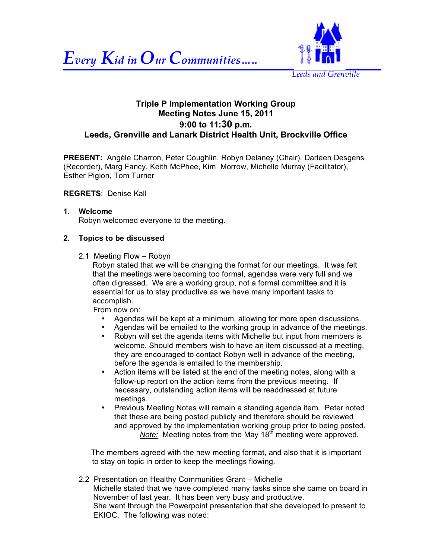



## **Triple P Implementation Working Group Meeting Notes June 15, 2011 9:00 to 11:30 p.m. Leeds, Grenville and Lanark District Health Unit, Brockville Office**

**PRESENT:** Angèle Charron, Peter Coughlin, Robyn Delaney (Chair), Darleen Desgens (Recorder), Marg Fancy, Keith McPhee, Kim Morrow, Michelle Murray (Facilitator), Esther Pigion, Tom Turner

#### **REGRETS**: Denise Kall

#### **1. Welcome**

Robyn welcomed everyone to the meeting.

#### **2. Topics to be discussed**

2.1 Meeting Flow – Robyn

Robyn stated that we will be changing the format for our meetings. It was felt that the meetings were becoming too formal, agendas were very full and we often digressed. We are a working group, not a formal committee and it is essential for us to stay productive as we have many important tasks to accomplish.

From now on:

- Agendas will be kept at a minimum, allowing for more open discussions.
- Agendas will be emailed to the working group in advance of the meetings.
- Robyn will set the agenda items with Michelle but input from members is welcome. Should members wish to have an item discussed at a meeting, they are encouraged to contact Robyn well in advance of the meeting, before the agenda is emailed to the membership.
- Action items will be listed at the end of the meeting notes, along with a follow-up report on the action items from the previous meeting. If necessary, outstanding action items will be readdressed at future meetings.
- Previous Meeting Notes will remain a standing agenda item. Peter noted that these are being posted publicly and therefore should be reviewed and approved by the implementation working group prior to being posted. *Note:* Meeting notes from the May 18<sup>th</sup> meeting were approved.

The members agreed with the new meeting format, and also that it is important to stay on topic in order to keep the meetings flowing.

 2.2 Presentation on Healthy Communities Grant – Michelle Michelle stated that we have completed many tasks since she came on board in November of last year. It has been very busy and productive. She went through the Powerpoint presentation that she developed to present to EKIOC. The following was noted: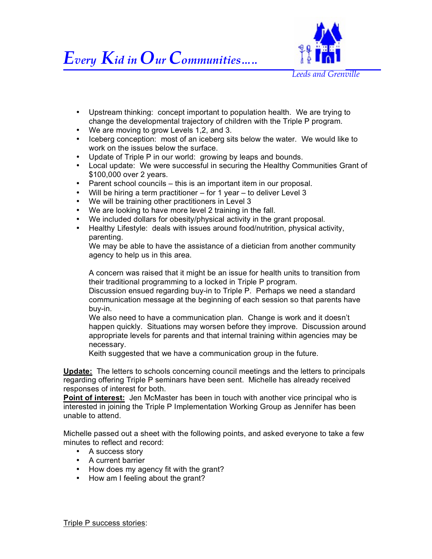

- Upstream thinking: concept important to population health. We are trying to change the developmental trajectory of children with the Triple P program.
- We are moving to grow Levels 1,2, and 3.
- Iceberg conception: most of an iceberg sits below the water. We would like to work on the issues below the surface.
- Update of Triple P in our world: growing by leaps and bounds.
- Local update: We were successful in securing the Healthy Communities Grant of \$100,000 over 2 years.
- Parent school councils this is an important item in our proposal.
- Will be hiring a term practitioner for 1 year to deliver Level 3
- We will be training other practitioners in Level 3
- We are looking to have more level 2 training in the fall.
- We included dollars for obesity/physical activity in the grant proposal.
- Healthy Lifestyle: deals with issues around food/nutrition, physical activity, parenting.

We may be able to have the assistance of a dietician from another community agency to help us in this area.

A concern was raised that it might be an issue for health units to transition from their traditional programming to a locked in Triple P program.

Discussion ensued regarding buy-in to Triple P. Perhaps we need a standard communication message at the beginning of each session so that parents have buy-in.

We also need to have a communication plan. Change is work and it doesn't happen quickly. Situations may worsen before they improve. Discussion around appropriate levels for parents and that internal training within agencies may be necessary.

Keith suggested that we have a communication group in the future.

**Update:** The letters to schools concerning council meetings and the letters to principals regarding offering Triple P seminars have been sent. Michelle has already received responses of interest for both.

**Point of interest:** Jen McMaster has been in touch with another vice principal who is interested in joining the Triple P Implementation Working Group as Jennifer has been unable to attend.

Michelle passed out a sheet with the following points, and asked everyone to take a few minutes to reflect and record:

- A success story
- A current barrier
- How does my agency fit with the grant?
- How am I feeling about the grant?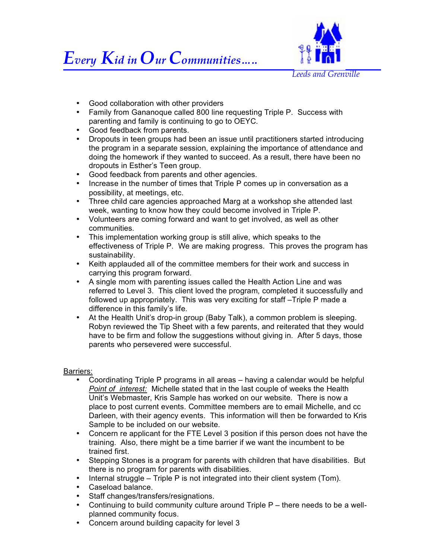



- Good collaboration with other providers
- Family from Gananoque called 800 line requesting Triple P. Success with parenting and family is continuing to go to OEYC.
- Good feedback from parents.
- Dropouts in teen groups had been an issue until practitioners started introducing the program in a separate session, explaining the importance of attendance and doing the homework if they wanted to succeed. As a result, there have been no dropouts in Esther's Teen group.
- Good feedback from parents and other agencies.
- Increase in the number of times that Triple P comes up in conversation as a possibility, at meetings, etc.
- Three child care agencies approached Marg at a workshop she attended last week, wanting to know how they could become involved in Triple P.
- Volunteers are coming forward and want to get involved, as well as other communities.
- This implementation working group is still alive, which speaks to the effectiveness of Triple P. We are making progress. This proves the program has sustainability.
- Keith applauded all of the committee members for their work and success in carrying this program forward.
- A single mom with parenting issues called the Health Action Line and was referred to Level 3. This client loved the program, completed it successfully and followed up appropriately. This was very exciting for staff –Triple P made a difference in this family's life.
- At the Health Unit's drop-in group (Baby Talk), a common problem is sleeping. Robyn reviewed the Tip Sheet with a few parents, and reiterated that they would have to be firm and follow the suggestions without giving in. After 5 days, those parents who persevered were successful.

#### Barriers:

- Coordinating Triple P programs in all areas having a calendar would be helpful *Point of interest:* Michelle stated that in the last couple of weeks the Health Unit's Webmaster, Kris Sample has worked on our website. There is now a place to post current events. Committee members are to email Michelle, and cc Darleen, with their agency events. This information will then be forwarded to Kris Sample to be included on our website.
- Concern re applicant for the FTE Level 3 position if this person does not have the training. Also, there might be a time barrier if we want the incumbent to be trained first.
- Stepping Stones is a program for parents with children that have disabilities. But there is no program for parents with disabilities.
- Internal struggle Triple P is not integrated into their client system (Tom).
- Caseload balance.
- Staff changes/transfers/resignations.
- Continuing to build community culture around Triple P there needs to be a wellplanned community focus.
- Concern around building capacity for level 3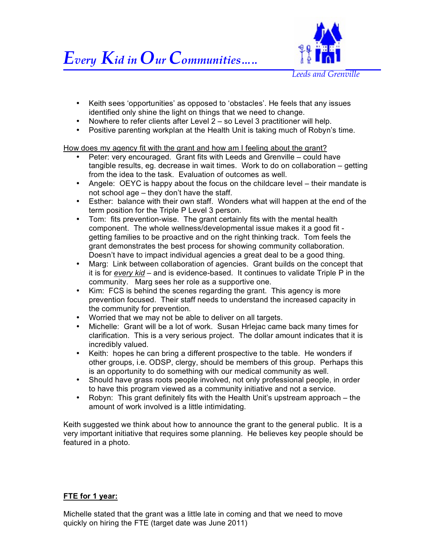

- Keith sees 'opportunities' as opposed to 'obstacles'. He feels that any issues identified only shine the light on things that we need to change.
- Nowhere to refer clients after Level 2 so Level 3 practitioner will help.
- Positive parenting workplan at the Health Unit is taking much of Robyn's time.

How does my agency fit with the grant and how am I feeling about the grant?

- Peter: very encouraged. Grant fits with Leeds and Grenville could have tangible results, eg. decrease in wait times. Work to do on collaboration – getting from the idea to the task. Evaluation of outcomes as well.
- Angele: OEYC is happy about the focus on the childcare level their mandate is not school age – they don't have the staff.
- Esther: balance with their own staff. Wonders what will happen at the end of the term position for the Triple P Level 3 person.
- Tom: fits prevention-wise. The grant certainly fits with the mental health component. The whole wellness/developmental issue makes it a good fit getting families to be proactive and on the right thinking track. Tom feels the grant demonstrates the best process for showing community collaboration. Doesn't have to impact individual agencies a great deal to be a good thing.
- Marg: Link between collaboration of agencies. Grant builds on the concept that it is for *every kid* – and is evidence-based. It continues to validate Triple P in the community. Marg sees her role as a supportive one.
- Kim: FCS is behind the scenes regarding the grant. This agency is more prevention focused. Their staff needs to understand the increased capacity in the community for prevention.
- Worried that we may not be able to deliver on all targets.
- Michelle: Grant will be a lot of work. Susan Hrlejac came back many times for clarification. This is a very serious project. The dollar amount indicates that it is incredibly valued.
- Keith: hopes he can bring a different prospective to the table. He wonders if other groups, i.e. ODSP, clergy, should be members of this group. Perhaps this is an opportunity to do something with our medical community as well.
- Should have grass roots people involved, not only professional people, in order to have this program viewed as a community initiative and not a service.
- Robyn: This grant definitely fits with the Health Unit's upstream approach the amount of work involved is a little intimidating.

Keith suggested we think about how to announce the grant to the general public. It is a very important initiative that requires some planning. He believes key people should be featured in a photo.

## **FTE for 1 year:**

Michelle stated that the grant was a little late in coming and that we need to move quickly on hiring the FTE (target date was June 2011)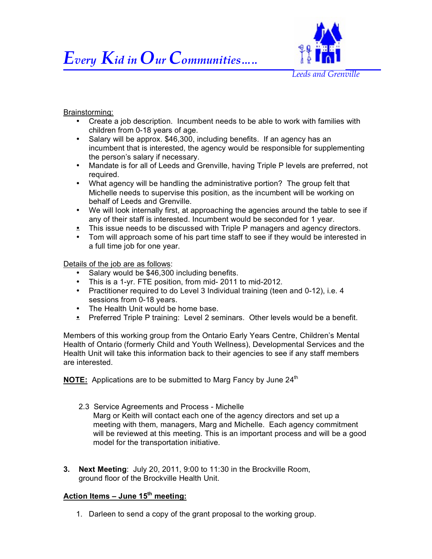# *Every Kid in Our Communities…..*



#### Brainstorming:

- Create a job description. Incumbent needs to be able to work with families with children from 0-18 years of age.
- Salary will be approx. \$46,300, including benefits. If an agency has an incumbent that is interested, the agency would be responsible for supplementing the person's salary if necessary.
- Mandate is for all of Leeds and Grenville, having Triple P levels are preferred, not required.
- What agency will be handling the administrative portion? The group felt that Michelle needs to supervise this position, as the incumbent will be working on behalf of Leeds and Grenville.
- We will look internally first, at approaching the agencies around the table to see if any of their staff is interested. Incumbent would be seconded for 1 year.
- This issue needs to be discussed with Triple P managers and agency directors.
- Tom will approach some of his part time staff to see if they would be interested in a full time job for one year.

Details of the job are as follows:

- Salary would be \$46,300 including benefits.
- This is a 1-yr. FTE position, from mid- 2011 to mid-2012.
- Practitioner required to do Level 3 Individual training (teen and 0-12), i.e. 4 sessions from 0-18 years.
- The Health Unit would be home base.
- **•** Preferred Triple P training: Level 2 seminars. Other levels would be a benefit.

Members of this working group from the Ontario Early Years Centre, Children's Mental Health of Ontario (formerly Child and Youth Wellness), Developmental Services and the Health Unit will take this information back to their agencies to see if any staff members are interested.

**NOTE:** Applications are to be submitted to Marg Fancy by June 24<sup>th</sup>

2.3 Service Agreements and Process - Michelle

Marg or Keith will contact each one of the agency directors and set up a meeting with them, managers, Marg and Michelle. Each agency commitment will be reviewed at this meeting. This is an important process and will be a good model for the transportation initiative.

**3. Next Meeting**: July 20, 2011, 9:00 to 11:30 in the Brockville Room, ground floor of the Brockville Health Unit.

## **Action Items – June 15th meeting:**

1. Darleen to send a copy of the grant proposal to the working group.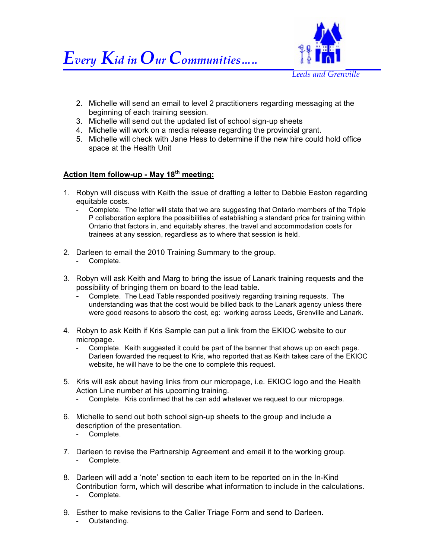



- 2. Michelle will send an email to level 2 practitioners regarding messaging at the beginning of each training session.
- 3. Michelle will send out the updated list of school sign-up sheets
- 4. Michelle will work on a media release regarding the provincial grant.
- 5. Michelle will check with Jane Hess to determine if the new hire could hold office space at the Health Unit

## **Action Item follow-up - May 18th meeting:**

- 1. Robyn will discuss with Keith the issue of drafting a letter to Debbie Easton regarding equitable costs.
	- Complete. The letter will state that we are suggesting that Ontario members of the Triple P collaboration explore the possibilities of establishing a standard price for training within Ontario that factors in, and equitably shares, the travel and accommodation costs for trainees at any session, regardless as to where that session is held.
- 2. Darleen to email the 2010 Training Summary to the group. - Complete.
- 3. Robyn will ask Keith and Marg to bring the issue of Lanark training requests and the possibility of bringing them on board to the lead table.
	- Complete. The Lead Table responded positively regarding training requests. The understanding was that the cost would be billed back to the Lanark agency unless there were good reasons to absorb the cost, eg: working across Leeds, Grenville and Lanark.
- 4. Robyn to ask Keith if Kris Sample can put a link from the EKIOC website to our micropage.
	- Complete. Keith suggested it could be part of the banner that shows up on each page. Darleen fowarded the request to Kris, who reported that as Keith takes care of the EKIOC website, he will have to be the one to complete this request.
- 5. Kris will ask about having links from our micropage, i.e. EKIOC logo and the Health Action Line number at his upcoming training.
	- Complete. Kris confirmed that he can add whatever we request to our micropage.
- 6. Michelle to send out both school sign-up sheets to the group and include a description of the presentation.
	- Complete.
- 7. Darleen to revise the Partnership Agreement and email it to the working group. - Complete.
- 8. Darleen will add a 'note' section to each item to be reported on in the In-Kind Contribution form, which will describe what information to include in the calculations. - Complete.
- 9. Esther to make revisions to the Caller Triage Form and send to Darleen.
	- Outstanding.